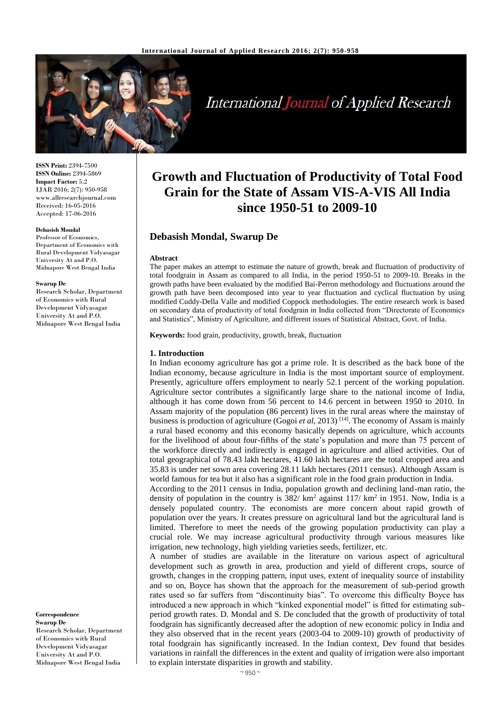

# **International Journal of Applied Research**

**ISSN Print:** 2394-7500 **ISSN Online:** 2394-5869 **Impact Factor:** 5.2 IJAR 2016; 2(7): 950-958 www.allresearchjournal.com Received: 16-05-2016 Accepted: 17-06-2016

#### **Debasish Mondal**

Professor of Economics, Department of Economics with Rural Development Vidyasagar University At and P.O. Midnapore West Bengal India

#### **Swarup De**

Research Scholar, Department of Economics with Rural Development Vidyasagar University At and P.O. Midnapore West Bengal India

**Correspondence Swarup De**

Research Scholar, Department of Economics with Rural Development Vidyasagar University At and P.O. Midnapore West Bengal India

# **Growth and Fluctuation of Productivity of Total Food Grain for the State of Assam VIS-A-VIS All India since 1950-51 to 2009-10**

## **Debasish Mondal, Swarup De**

#### **Abstract**

The paper makes an attempt to estimate the nature of growth, break and fluctuation of productivity of total foodgrain in Assam as compared to all India, in the period 1950-51 to 2009-10. Breaks in the growth paths have been evaluated by the modified Bai-Perron methodology and fluctuations around the growth path have been decomposed into year to year fluctuation and cyclical fluctuation by using modified Cuddy-Della Valle and modified Coppock methodologies. The entire research work is based on secondary data of productivity of total foodgrain in India collected from "Directorate of Economics and Statistics", Ministry of Agriculture, and different issues of Statistical Abstract, Govt. of India.

**Keywords:** food grain, productivity, growth, break, fluctuation

#### **1. Introduction**

In Indian economy agriculture has got a prime role. It is described as the back bone of the Indian economy, because agriculture in India is the most important source of employment. Presently, agriculture offers employment to nearly 52.1 percent of the working population. Agriculture sector contributes a significantly large share to the national income of India, although it has come down from 56 percent to 14.6 percent in between 1950 to 2010. In Assam majority of the population (86 percent) lives in the rural areas where the mainstay of business is production of agriculture (Gogoi *et al*, 2013) [14] . The economy of Assam is mainly a rural based economy and this economy basically depends on agriculture, which accounts for the livelihood of about four-fifths of the state's population and more than 75 percent of the workforce directly and indirectly is engaged in agriculture and allied activities. Out of total geographical of 78.43 lakh hectares, 41.60 lakh hectares are the total cropped area and 35.83 is under net sown area covering 28.11 lakh hectares (2011 census). Although Assam is world famous for tea but it also has a significant role in the food grain production in India.

According to the 2011 census in India, population growth and declining land-man ratio, the density of population in the country is  $382/\text{ km}^2$  against  $117/\text{ km}^2$  in 1951. Now, India is a densely populated country. The economists are more concern about rapid growth of population over the years. It creates pressure on agricultural land but the agricultural land is limited. Therefore to meet the needs of the growing population productivity can play a crucial role. We may increase agricultural productivity through various measures like irrigation, new technology, high yielding varieties seeds, fertilizer, etc.

A number of studies are available in the literature on various aspect of agricultural development such as growth in area, production and yield of different crops, source of growth, changes in the cropping pattern, input uses, extent of inequality source of instability and so on, Boyce has shown that the approach for the measurement of sub-period growth rates used so far suffers from "discontinuity bias". To overcome this difficulty Boyce has introduced a new approach in which "kinked exponential model" is fitted for estimating subperiod growth rates. D. Mondal and S. De concluded that the growth of productivity of total foodgrain has significantly decreased after the adoption of new economic policy in India and they also observed that in the recent years (2003-04 to 2009-10) growth of productivity of total foodgrain has significantly increased. In the Indian context, Dev found that besides variations in rainfall the differences in the extent and quality of irrigation were also important to explain interstate disparities in growth and stability.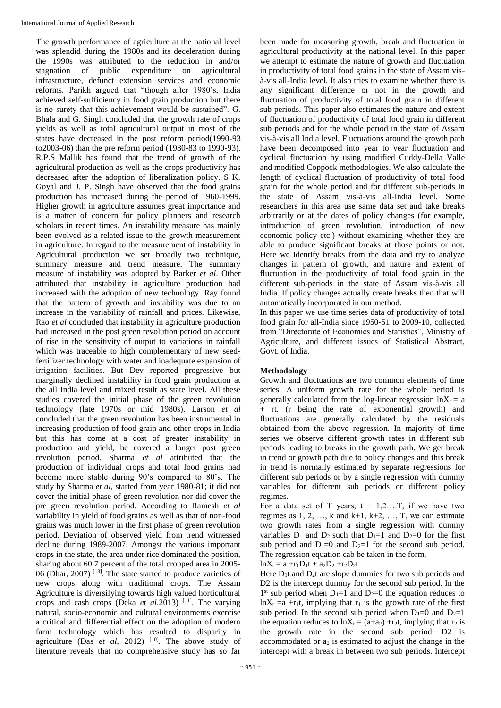The growth performance of agriculture at the national level was splendid during the 1980s and its deceleration during the 1990s was attributed to the reduction in and/or stagnation of public expenditure on agricultural infrastructure, defunct extension services and economic reforms. Parikh argued that "though after 1980's, India achieved self-sufficiency in food grain production but there is no surety that this achievement would be sustained". G. Bhala and G. Singh concluded that the growth rate of crops yields as well as total agricultural output in most of the states have decreased in the post reform period(1990-93 to2003-06) than the pre reform period (1980-83 to 1990-93). R.P.S Mallik has found that the trend of growth of the agricultural production as well as the crops productivity has decreased after the adoption of liberalization policy. S K. Goyal and J. P. Singh have observed that the food grains production has increased during the period of 1960-1999. Higher growth in agriculture assumes great importance and is a matter of concern for policy planners and research scholars in recent times. An instability measure has mainly been evolved as a related issue to the growth measurement in agriculture. In regard to the measurement of instability in Agricultural production we set broadly two technique, summary measure and trend measure. The summary measure of instability was adopted by Barker *et al*. Other attributed that instability in agriculture production had increased with the adoption of new technology. Ray found that the pattern of growth and instability was due to an increase in the variability of rainfall and prices. Likewise, Rao *et al* concluded that instability in agriculture production had increased in the post green revolution period on account of rise in the sensitivity of output to variations in rainfall which was traceable to high complementary of new seedfertilizer technology with water and inadequate expansion of irrigation facilities. But Dev reported progressive but marginally declined instability in food grain production at the all India level and mixed result as state level. All these studies covered the initial phase of the green revolution technology (late 1970s or mid 1980s). Larson *et al* concluded that the green revolution has been instrumental in increasing production of food grain and other crops in India but this has come at a cost of greater instability in production and yield, he covered a longer post green revolution period. Sharma *et al* attributed that the production of individual crops and total food grains had become more stable during 90's compared to 80's. The study by Sharma *et al*, started from year 1980-81; it did not cover the initial phase of green revolution nor did cover the pre green revolution period. According to Ramesh *et al* variability in yield of food grains as well as that of non-food grains was much lower in the first phase of green revolution period. Deviation of observed yield from trend witnessed decline during 1989-2007. Amongst the various important crops in the state, the area under rice dominated the position, sharing about 60.7 percent of the total cropped area in 2005- 06 (Dhar, 2007) [13]. The state started to produce varieties of new crops along with traditional crops. The Assam Agriculture is diversifying towards high valued horticultural crops and cash crops (Deka *et al*.2013) [11]. The varying natural, socio-economic and cultural environments exercise a critical and differential effect on the adoption of modern farm technology which has resulted to disparity in agriculture (Das *et al*, 2012)  $[10]$ . The above study of literature reveals that no comprehensive study has so far

been made for measuring growth, break and fluctuation in agricultural productivity at the national level. In this paper we attempt to estimate the nature of growth and fluctuation in productivity of total food grains in the state of Assam visà-vis all-India level. It also tries to examine whether there is any significant difference or not in the growth and fluctuation of productivity of total food grain in different sub periods. This paper also estimates the nature and extent of fluctuation of productivity of total food grain in different sub periods and for the whole period in the state of Assam vis-à-vis all India level. Fluctuations around the growth path have been decomposed into year to year fluctuation and cyclical fluctuation by using modified Cuddy-Della Valle and modified Coppock methodologies. We also calculate the length of cyclical fluctuation of productivity of total food grain for the whole period and for different sub-periods in the state of Assam vis-à-vis all-India level. Some researchers in this area use same data set and take breaks arbitrarily or at the dates of policy changes (for example, introduction of green revolution, introduction of new economic policy etc.) without examining whether they are able to produce significant breaks at those points or not. Here we identify breaks from the data and try to analyze changes in pattern of growth, and nature and extent of fluctuation in the productivity of total food grain in the different sub-periods in the state of Assam vis-à-vis all India. If policy changes actually create breaks then that will automatically incorporated in our method.

In this paper we use time series data of productivity of total food grain for all-India since 1950-51 to 2009-10, collected from "Directorate of Economics and Statistics", Ministry of Agriculture, and different issues of Statistical Abstract, Govt. of India.

### **Methodology**

Growth and fluctuations are two common elements of time series. A uniform growth rate for the whole period is generally calculated from the log-linear regression  $lnX_t = a$ + rt. (r being the rate of exponential growth) and fluctuations are generally calculated by the residuals obtained from the above regression. In majority of time series we observe different growth rates in different sub periods leading to breaks in the growth path. We get break in trend or growth path due to policy changes and this break in trend is normally estimated by separate regressions for different sub periods or by a single regression with dummy variables for different sub periods or different policy regimes.

For a data set of T years,  $t = 1, 2, \dots, T$ , if we have two regimes as  $1, 2, \ldots, k$  and  $k+1, k+2, \ldots, T$ , we can estimate two growth rates from a single regression with dummy variables  $D_1$  and  $D_2$  such that  $D_1=1$  and  $D_2=0$  for the first sub period and  $D_1=0$  and  $D_2=1$  for the second sub period. The regression equation cab be taken in the form,

 $lnX_t = a + r_1D_1t + a_2D_2 + r_2D_2t$ 

Here  $D_1t$  and  $D_2t$  are slope dummies for two sub periods and D2 is the intercept dummy for the second sub period. In the  $1<sup>st</sup>$  sub period when  $D<sub>1</sub>=1$  and  $D<sub>2</sub>=0$  the equation reduces to  $lnX_t = a + r_1t$ , implying that  $r_1$  is the growth rate of the first sub period. In the second sub period when  $D_1=0$  and  $D_2=1$ the equation reduces to  $lnX_t = (a+a_2) + r_2t$ , implying that  $r_2$  is the growth rate in the second sub period. D2 is accommodated or  $a_2$  is estimated to adjust the change in the intercept with a break in between two sub periods. Intercept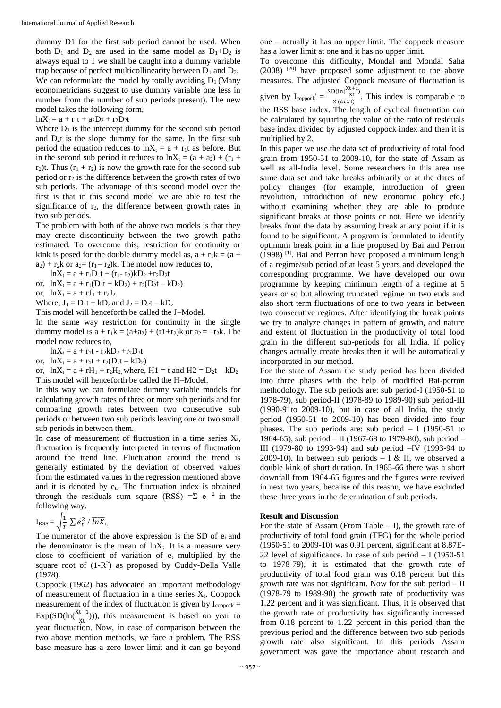dummy D1 for the first sub period cannot be used. When both  $D_1$  and  $D_2$  are used in the same model as  $D_1+D_2$  is always equal to 1 we shall be caught into a dummy variable trap because of perfect multicollinearity between  $D_1$  and  $D_2$ . We can reformulate the model by totally avoiding  $D_1$  (Many econometricians suggest to use dummy variable one less in number from the number of sub periods present). The new model takes the following form,

 $lnX_t = a + r_1t + a_2D_2 + r_2D_2t$ 

Where  $D_2$  is the intercept dummy for the second sub period and D2t is the slope dummy for the same. In the first sub period the equation reduces to  $lnX_t = a + r_1t$  as before. But in the second sub period it reduces to  $lnX_t = (a + a_2) + (r_1 +$ r<sub>2</sub>)t. Thus ( $r_1 + r_2$ ) is now the growth rate for the second sub period or  $r_2$  is the difference between the growth rates of two sub periods. The advantage of this second model over the first is that in this second model we are able to test the significance of r<sub>2</sub>, the difference between growth rates in two sub periods.

The problem with both of the above two models is that they may create discontinuity between the two growth paths estimated. To overcome this, restriction for continuity or kink is posed for the double dummy model as,  $a + r_1k = (a +$  $a_2$ ) + r<sub>2</sub>k or  $a_2 = (r_1 - r_2)k$ . The model now reduces to,

 $lnX_t = a + r_1D_1t + (r_1 - r_2)kD_2 + r_2D_2t$ 

or,  $lnX_t = a + r_1(D_1t + kD_2) + r_2(D_2t - kD_2)$ 

or,  $lnX_t = a + rJ_1 + r_2J_2$ 

Where,  $J_1 = D_1t + kD_2$  and  $J_2 = D_2t - kD_2$ 

This model will henceforth be called the J–Model.

In the same way restriction for continuity in the single dummy model is  $a + r_1k = (a + a_2) + (r_1 + r_2)k$  or  $a_2 = -r_2k$ . The model now reduces to,

 $lnX_t = a + r_1t - r_2kD_2 + r_2D_2t$ 

or,  $lnX_t = a + r_1t + r_2(D_2t - kD_2)$ 

or,  $lnX_t = a + rH_1 + r_2H_2$ , where,  $H1 = t$  and  $H2 = D_2t - kD_2$ This model will henceforth be called the H–Model.

In this way we can formulate dummy variable models for calculating growth rates of three or more sub periods and for comparing growth rates between two consecutive sub periods or between two sub periods leaving one or two small sub periods in between them.

In case of measurement of fluctuation in a time series  $X_t$ , fluctuation is frequently interpreted in terms of fluctuation around the trend line. Fluctuation around the trend is generally estimated by the deviation of observed values from the estimated values in the regression mentioned above and it is denoted by e<sub>t</sub>. The fluctuation index is obtained through the residuals sum square (RSS) = $\Sigma$  e<sub>t</sub> <sup>2</sup> in the following way.

$$
I_{RSS} = \sqrt{\frac{1}{T} \sum e_t^2} / \overline{lnX_t}
$$

The numerator of the above expression is the SD of  $e_t$  and the denominator is the mean of  $ln X_t$ . It is a measure very close to coefficient of variation of  $e_t$  multiplied by the square root of  $(1-R^2)$  as proposed by Cuddy-Della Valle (1978).

Coppock (1962) has advocated an important methodology of measurement of fluctuation in a time series  $X_t$ . Coppock measurement of the index of fluctuation is given by  $I_{\text{convock}} =$  $Exp(SD(\ln(\frac{Xt+1}{Xt})))$ , this measurement is based on year to year fluctuation. Now, in case of comparison between the two above mention methods, we face a problem. The RSS base measure has a zero lower limit and it can go beyond

one – actually it has no upper limit. The coppock measure has a lower limit at one and it has no upper limit.

To overcome this difficulty, Mondal and Mondal Saha  $(2008)$   $[20]$  have proposed some adjustment to the above measures. The adjusted Coppock measure of fluctuation is given by  $I_{\text{coppock}}' = \frac{\text{SD}(\ln(\frac{Xt+1}{Xt}))}{2\sqrt{(\ln X)^2}}$  $\frac{x_1x_2}{2(\ln x)}$ . This index is comparable to the RSS base index. The length of cyclical fluctuation can be calculated by squaring the value of the ratio of residuals base index divided by adjusted coppock index and then it is multiplied by 2.

In this paper we use the data set of productivity of total food grain from 1950-51 to 2009-10, for the state of Assam as well as all-India level. Some researchers in this area use same data set and take breaks arbitrarily or at the dates of policy changes (for example, introduction of green revolution, introduction of new economic policy etc.) without examining whether they are able to produce significant breaks at those points or not. Here we identify breaks from the data by assuming break at any point if it is found to be significant. A program is formulated to identify optimum break point in a line proposed by Bai and Perron (1998) [1]. Bai and Perron have proposed a minimum length of a regime/sub period of at least 5 years and developed the corresponding programme. We have developed our own programme by keeping minimum length of a regime at 5 years or so but allowing truncated regime on two ends and also short term fluctuations of one to two years in between two consecutive regimes. After identifying the break points we try to analyze changes in pattern of growth, and nature and extent of fluctuation in the productivity of total food grain in the different sub-periods for all India. If policy changes actually create breaks then it will be automatically incorporated in our method.

For the state of Assam the study period has been divided into three phases with the help of modified Bai-perron methodology. The sub periods are: sub period-I (1950-51 to 1978-79), sub period-II (1978-89 to 1989-90) sub period-III (1990-91to 2009-10), but in case of all India, the study period (1950-51 to 2009-10) has been divided into four phases. The sub periods are: sub period  $- I$  (1950-51 to 1964-65), sub period – II (1967-68 to 1979-80), sub period – III (1979-80 to 1993-94) and sub period –IV (1993-94 to 2009-10). In between sub periods  $- I & H$ , we observed a double kink of short duration. In 1965-66 there was a short downfall from 1964-65 figures and the figures were revived in next two years, because of this reason, we have excluded these three years in the determination of sub periods.

#### **Result and Discussion**

For the state of Assam (From Table  $-$  I), the growth rate of productivity of total food grain (TFG) for the whole period (1950-51 to 2009-10) was 0.91 percent, significant at 8.87E-22 level of significance. In case of sub period  $-1$  (1950-51) to 1978-79), it is estimated that the growth rate of productivity of total food grain was 0.18 percent but this growth rate was not significant. Now for the sub period – II (1978-79 to 1989-90) the growth rate of productivity was 1.22 percent and it was significant. Thus, it is observed that the growth rate of productivity has significantly increased from 0.18 percent to 1.22 percent in this period than the previous period and the difference between two sub periods growth rate also significant. In this periods Assam government was gave the importance about research and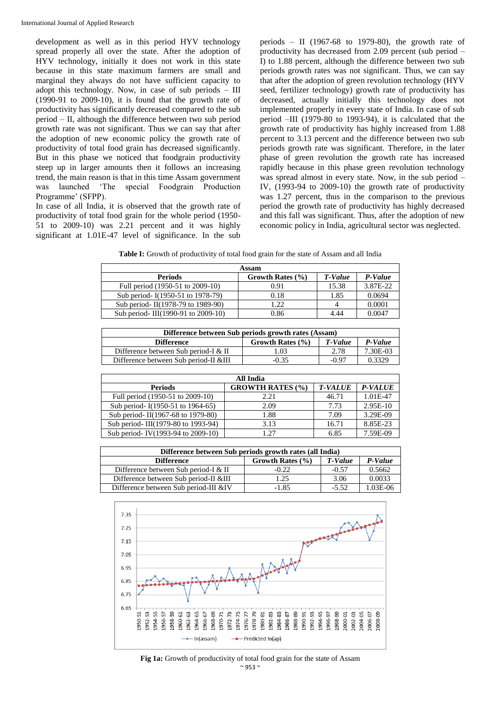development as well as in this period HYV technology spread properly all over the state. After the adoption of HYV technology, initially it does not work in this state because in this state maximum farmers are small and marginal they always do not have sufficient capacity to adopt this technology. Now, in case of sub periods – III (1990-91 to 2009-10), it is found that the growth rate of productivity has significantly decreased compared to the sub period – II, although the difference between two sub period growth rate was not significant. Thus we can say that after the adoption of new economic policy the growth rate of productivity of total food grain has decreased significantly. But in this phase we noticed that foodgrain productivity steep up in larger amounts then it follows an increasing trend, the main reason is that in this time Assam government was launched 'The special Foodgrain Production Programme' (SFPP).

In case of all India, it is observed that the growth rate of productivity of total food grain for the whole period (1950- 51 to 2009-10) was 2.21 percent and it was highly significant at 1.01E-47 level of significance. In the sub

periods – II (1967-68 to 1979-80), the growth rate of productivity has decreased from 2.09 percent (sub period – I) to 1.88 percent, although the difference between two sub periods growth rates was not significant. Thus, we can say that after the adoption of green revolution technology (HYV seed, fertilizer technology) growth rate of productivity has decreased, actually initially this technology does not implemented properly in every state of India. In case of sub period –III (1979-80 to 1993-94), it is calculated that the growth rate of productivity has highly increased from 1.88 percent to 3.13 percent and the difference between two sub periods growth rate was significant. Therefore, in the later phase of green revolution the growth rate has increased rapidly because in this phase green revolution technology was spread almost in every state. Now, in the sub period – IV, (1993-94 to 2009-10) the growth rate of productivity was 1.27 percent, thus in the comparison to the previous period the growth rate of productivity has highly decreased and this fall was significant. Thus, after the adoption of new economic policy in India, agricultural sector was neglected.

Table I: Growth of productivity of total food grain for the state of Assam and all India

| Assam                              |                      |         |          |
|------------------------------------|----------------------|---------|----------|
| <b>Periods</b>                     | Growth Rates $(\% )$ | T-Value | P-Value  |
| Full period (1950-51 to 2009-10)   | 0.91                 | 15.38   | 3.87E-22 |
| Sub period- I(1950-51 to 1978-79)  | 0.18                 | 1.85    | 0.0694   |
| Sub period- II(1978-79 to 1989-90) | 1.22                 |         | 0.0001   |
| Sub period-III(1990-91 to 2009-10) | 0.86                 | 4.44    | 0.0047   |

| Difference between Sub periods growth rates (Assam) |                      |         |          |
|-----------------------------------------------------|----------------------|---------|----------|
| <b>Difference</b>                                   | Growth Rates $(\% )$ | T-Value | P-Value  |
| Difference between Sub period-I & II                | 0.03                 | 2.78    | 7.30E-03 |
| Difference between Sub period-II &III               | $-0.35$              | -0.97   | 0.3329   |

| All India                          |                         |                |                |
|------------------------------------|-------------------------|----------------|----------------|
| <b>Periods</b>                     | <b>GROWTH RATES (%)</b> | <b>T-VALUE</b> | <b>P-VALUE</b> |
| Full period (1950-51 to 2009-10)   | 2.21                    | 46.71          | 1.01E-47       |
| Sub period- I(1950-51 to 1964-65)  | 2.09                    | 7.73           | $2.95E-10$     |
| Sub period-II(1967-68 to 1979-80)  | 1.88                    | 7.09           | 3.29E-09       |
| Sub period-III(1979-80 to 1993-94) | 3.13                    | 16.71          | 8.85E-23       |
| Sub period-IV(1993-94 to 2009-10)  | 1.27                    | 6.85           | 7.59E-09       |

| Difference between Sub periods growth rates (all India) |                      |         |          |
|---------------------------------------------------------|----------------------|---------|----------|
| <b>Difference</b>                                       | Growth Rates $(\% )$ | T-Value | P-Value  |
| Difference between Sub period-I & II                    | $-0.22$              | $-0.57$ | 0.5662   |
| Difference between Sub period-II &III                   | 1.25                 | 3.06    | 0.0033   |
| Difference between Sub period-III &IV                   | $-1.85$              | $-5.52$ | 1.03E-06 |



 $~^{\sim}$  953  $~^{\sim}$ Fig 1a: Growth of productivity of total food grain for the state of Assam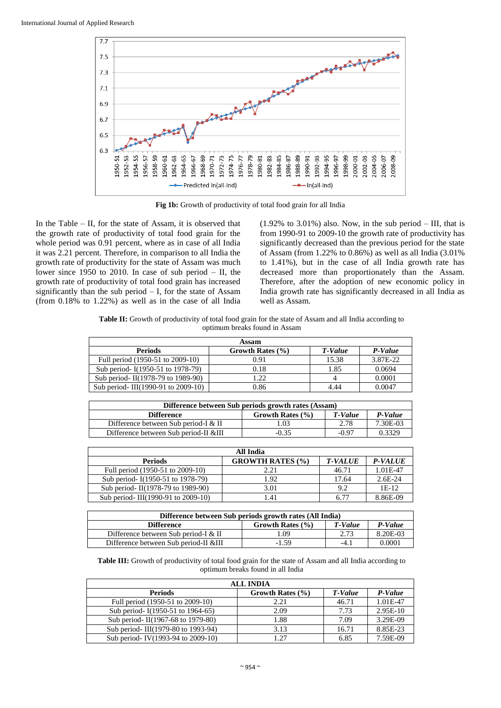

Fig 1b: Growth of productivity of total food grain for all India

In the Table – II, for the state of Assam, it is observed that the growth rate of productivity of total food grain for the whole period was 0.91 percent, where as in case of all India it was 2.21 percent. Therefore, in comparison to all India the growth rate of productivity for the state of Assam was much lower since 1950 to 2010. In case of sub period – II, the growth rate of productivity of total food grain has increased significantly than the sub period  $-$  I, for the state of Assam (from 0.18% to 1.22%) as well as in the case of all India  $(1.92\% \text{ to } 3.01\%)$  also. Now, in the sub period – III, that is from 1990-91 to 2009-10 the growth rate of productivity has significantly decreased than the previous period for the state of Assam (from  $1.22\%$  to  $0.86\%$ ) as well as all India  $(3.01\%$ to 1.41%), but in the case of all India growth rate has decreased more than proportionately than the Assam. Therefore, after the adoption of new economic policy in India growth rate has significantly decreased in all India as well as Assam.

Table II: Growth of productivity of total food grain for the state of Assam and all India according to optimum breaks found in Assam

| Assam                              |                      |         |          |
|------------------------------------|----------------------|---------|----------|
| <b>Periods</b>                     | Growth Rates $(\% )$ | T-Value | P-Value  |
| Full period (1950-51 to 2009-10)   | 0.91                 | 15.38   | 3.87E-22 |
| Sub period- I(1950-51 to 1978-79)  | 0.18                 | 1.85    | 0.0694   |
| Sub period- II(1978-79 to 1989-90) | 1.22                 |         | 0.0001   |
| Sub period-III(1990-91 to 2009-10) | 0.86                 | 4.44    | 0.0047   |

| Difference between Sub periods growth rates (Assam) |                      |         |          |
|-----------------------------------------------------|----------------------|---------|----------|
| <b>Difference</b>                                   | Growth Rates $(\% )$ | T-Value | P-Value  |
| Difference between Sub period-I & II                | 1.03                 | 2.78    | 7.30E-03 |
| Difference between Sub period-II &III               | $-0.35$              | $-0.97$ | 0.3329   |

| All India                          |                         |                |                |
|------------------------------------|-------------------------|----------------|----------------|
| <b>Periods</b>                     | <b>GROWTH RATES (%)</b> | <b>T-VALUE</b> | <b>P-VALUE</b> |
| Full period (1950-51 to 2009-10)   | 2.21                    | 46.71          | 1.01E-47       |
| Sub period- I(1950-51 to 1978-79)  | 1.92                    | 17.64          | $2.6E-24$      |
| Sub period-II(1978-79 to 1989-90)  | 3.01                    | 9.2            | $1E-12$        |
| Sub period-III(1990-91 to 2009-10) | 1.41                    | 6.77           | 8.86E-09       |

| Difference between Sub periods growth rates (All India) |                  |         |          |
|---------------------------------------------------------|------------------|---------|----------|
| <b>Difference</b>                                       | Growth Rates (%) | T-Value | P-Value  |
| Difference between Sub period-I & II                    | 0.09             | 2.73    | 8.20E-03 |
| Difference between Sub period-II &III                   | $-1.59$          | $-4.1$  | 0.0001   |

**Table III:** Growth of productivity of total food grain for the state of Assam and all India according to optimum breaks found in all India

| <b>ALL INDIA</b>                   |                      |         |            |
|------------------------------------|----------------------|---------|------------|
| <b>Periods</b>                     | Growth Rates $(\% )$ | T-Value | P-Value    |
| Full period (1950-51 to 2009-10)   | 2.21                 | 46.71   | 1.01E-47   |
| Sub period- I(1950-51 to 1964-65)  | 2.09                 | 7.73    | $2.95E-10$ |
| Sub period- II(1967-68 to 1979-80) | 1.88                 | 7.09    | 3.29E-09   |
| Sub period-III(1979-80 to 1993-94) | 3.13                 | 16.71   | 8.85E-23   |
| Sub period-IV(1993-94 to 2009-10)  | 1.27                 | 6.85    | 7.59E-09   |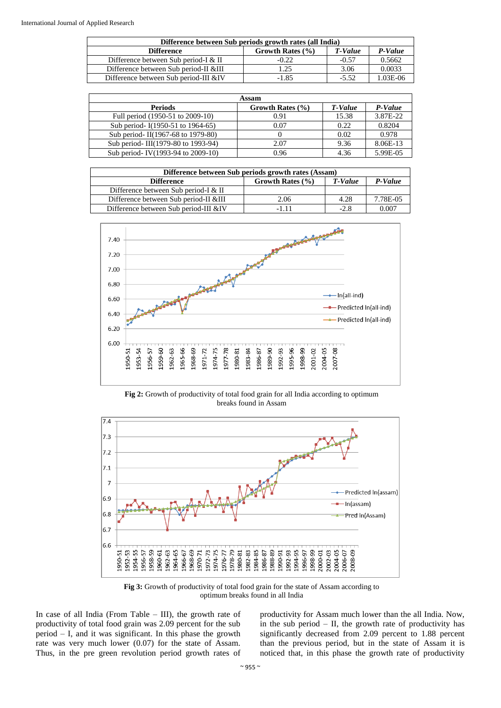| Difference between Sub periods growth rates (all India) |                  |         |         |
|---------------------------------------------------------|------------------|---------|---------|
| <b>Difference</b>                                       | Growth Rates (%) | T-Value | P-Value |
| Difference between Sub period-I & II                    | $-0.22$          | $-0.57$ | 0.5662  |
| Difference between Sub period-II &III                   | 1.25             | 3.06    | 0.0033  |
| Difference between Sub period-III &IV                   | $-1.85$          | $-5.52$ | L03E-06 |

| Assam                              |                      |         |          |
|------------------------------------|----------------------|---------|----------|
| <b>Periods</b>                     | Growth Rates $(\% )$ | T-Value | P-Value  |
| Full period (1950-51 to 2009-10)   | 0.91                 | 15.38   | 3.87E-22 |
| Sub period- I(1950-51 to 1964-65)  | 0.07                 | 0.22    | 0.8204   |
| Sub period-II(1967-68 to 1979-80)  |                      | 0.02    | 0.978    |
| Sub period-III(1979-80 to 1993-94) | 2.07                 | 9.36    | 8.06E-13 |
| Sub period-IV(1993-94 to 2009-10)  | 0.96                 | 4.36    | 5.99E-05 |

| Difference between Sub periods growth rates (Assam) |                      |         |          |
|-----------------------------------------------------|----------------------|---------|----------|
| <b>Difference</b>                                   | Growth Rates $(\% )$ | T-Value | P-Value  |
| Difference between Sub period-I & II                |                      |         |          |
| Difference between Sub period-II &III               | 2.06                 | 4.28    | 7.78E-05 |
| Difference between Sub period-III &IV               | -1 11                | $-2.8$  | 0.007    |



Fig 2: Growth of productivity of total food grain for all India according to optimum breaks found in Assam



**Fig 3:** Growth of productivity of total food grain for the state of Assam according to optimum breaks found in all India

In case of all India (From Table – III), the growth rate of productivity of total food grain was 2.09 percent for the sub period – I, and it was significant. In this phase the growth rate was very much lower (0.07) for the state of Assam. Thus, in the pre green revolution period growth rates of productivity for Assam much lower than the all India. Now, in the sub period  $-$  II, the growth rate of productivity has significantly decreased from 2.09 percent to 1.88 percent than the previous period, but in the state of Assam it is noticed that, in this phase the growth rate of productivity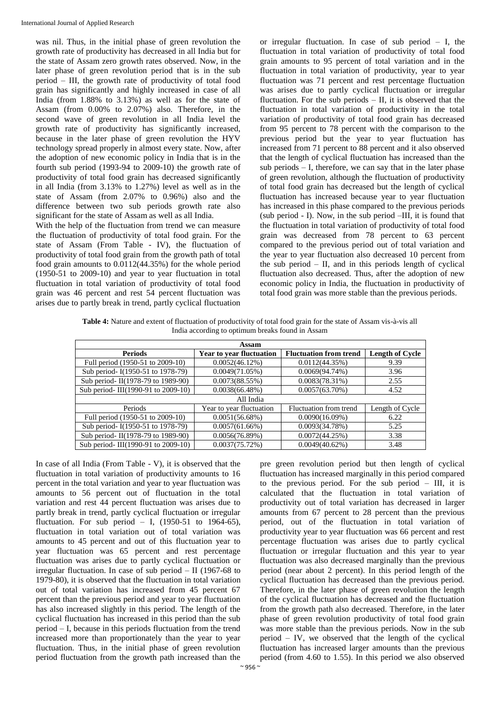was nil. Thus, in the initial phase of green revolution the growth rate of productivity has decreased in all India but for the state of Assam zero growth rates observed. Now, in the later phase of green revolution period that is in the sub period – III, the growth rate of productivity of total food grain has significantly and highly increased in case of all India (from 1.88% to 3.13%) as well as for the state of Assam (from 0.00% to 2.07%) also. Therefore, in the second wave of green revolution in all India level the growth rate of productivity has significantly increased, because in the later phase of green revolution the HYV technology spread properly in almost every state. Now, after the adoption of new economic policy in India that is in the fourth sub period (1993-94 to 2009-10) the growth rate of productivity of total food grain has decreased significantly in all India (from 3.13% to 1.27%) level as well as in the state of Assam (from 2.07% to 0.96%) also and the difference between two sub periods growth rate also significant for the state of Assam as well as all India.

With the help of the fluctuation from trend we can measure the fluctuation of productivity of total food grain. For the state of Assam (From Table - IV), the fluctuation of productivity of total food grain from the growth path of total food grain amounts to 0.0112(44.35%) for the whole period (1950-51 to 2009-10) and year to year fluctuation in total fluctuation in total variation of productivity of total food grain was 46 percent and rest 54 percent fluctuation was arises due to partly break in trend, partly cyclical fluctuation

or irregular fluctuation. In case of sub period – I, the fluctuation in total variation of productivity of total food grain amounts to 95 percent of total variation and in the fluctuation in total variation of productivity, year to year fluctuation was 71 percent and rest percentage fluctuation was arises due to partly cyclical fluctuation or irregular fluctuation. For the sub periods  $-$  II, it is observed that the fluctuation in total variation of productivity in the total variation of productivity of total food grain has decreased from 95 percent to 78 percent with the comparison to the previous period but the year to year fluctuation has increased from 71 percent to 88 percent and it also observed that the length of cyclical fluctuation has increased than the sub periods – I, therefore, we can say that in the later phase of green revolution, although the fluctuation of productivity of total food grain has decreased but the length of cyclical fluctuation has increased because year to year fluctuation has increased in this phase compared to the previous periods (sub period - I). Now, in the sub period –III, it is found that the fluctuation in total variation of productivity of total food grain was decreased from 78 percent to 63 percent compared to the previous period out of total variation and the year to year fluctuation also decreased 10 percent from the sub period  $-$  II, and in this periods length of cyclical fluctuation also decreased. Thus, after the adoption of new economic policy in India, the fluctuation in productivity of total food grain was more stable than the previous periods.

**Table 4:** Nature and extent of fluctuation of productivity of total food grain for the state of Assam vis-à-vis all India according to optimum breaks found in Assam

| Assam                              |                                 |                               |                        |  |  |
|------------------------------------|---------------------------------|-------------------------------|------------------------|--|--|
| <b>Periods</b>                     | <b>Year to year fluctuation</b> | <b>Fluctuation from trend</b> | <b>Length of Cycle</b> |  |  |
| Full period (1950-51 to 2009-10)   | $0.0052(46.12\%)$               | 0.0112(44.35%)                | 9.39                   |  |  |
| Sub period- I(1950-51 to 1978-79)  | 0.0049(71.05%)                  | $0.0069(94.74\%)$             | 3.96                   |  |  |
| Sub period-II(1978-79 to 1989-90)  | 0.0073(88.55%)                  | $0.0083(78.31\%)$             | 2.55                   |  |  |
| Sub period-III(1990-91 to 2009-10) | 0.0038(66.48%)                  | $0.0057(63.70\%)$             | 4.52                   |  |  |
| All India                          |                                 |                               |                        |  |  |
| Periods                            | Year to year fluctuation        | Fluctuation from trend        | Length of Cycle        |  |  |
| Full period (1950-51 to 2009-10)   | 0.0051(56.68%)                  | $0.0090(16.09\%)$             | 6.22                   |  |  |
| Sub period- I(1950-51 to 1978-79)  | 0.0057(61.66%)                  | 0.0093(34.78%)                | 5.25                   |  |  |
| Sub period-II(1978-79 to 1989-90)  | 0.0056(76.89%)                  | 0.0072(44.25%)                | 3.38                   |  |  |
| Sub period-III(1990-91 to 2009-10) | $0.0037(75.72\%)$               | $0.0049(40.62\%)$             | 3.48                   |  |  |

In case of all India (From Table - V), it is observed that the fluctuation in total variation of productivity amounts to 16 percent in the total variation and year to year fluctuation was amounts to 56 percent out of fluctuation in the total variation and rest 44 percent fluctuation was arises due to partly break in trend, partly cyclical fluctuation or irregular fluctuation. For sub period – I,  $(1950-51)$  to  $1964-65$ ), fluctuation in total variation out of total variation was amounts to 45 percent and out of this fluctuation year to year fluctuation was 65 percent and rest percentage fluctuation was arises due to partly cyclical fluctuation or irregular fluctuation. In case of sub period – II (1967-68 to 1979-80), it is observed that the fluctuation in total variation out of total variation has increased from 45 percent 67 percent than the previous period and year to year fluctuation has also increased slightly in this period. The length of the cyclical fluctuation has increased in this period than the sub period – I, because in this periods fluctuation from the trend increased more than proportionately than the year to year fluctuation. Thus, in the initial phase of green revolution period fluctuation from the growth path increased than the

pre green revolution period but then length of cyclical fluctuation has increased marginally in this period compared to the previous period. For the sub period – III, it is calculated that the fluctuation in total variation of productivity out of total variation has decreased in larger amounts from 67 percent to 28 percent than the previous period, out of the fluctuation in total variation of productivity year to year fluctuation was 66 percent and rest percentage fluctuation was arises due to partly cyclical fluctuation or irregular fluctuation and this year to year fluctuation was also decreased marginally than the previous period (near about 2 percent). In this period length of the cyclical fluctuation has decreased than the previous period. Therefore, in the later phase of green revolution the length of the cyclical fluctuation has decreased and the fluctuation from the growth path also decreased. Therefore, in the later phase of green revolution productivity of total food grain was more stable than the previous periods. Now in the sub period – IV, we observed that the length of the cyclical fluctuation has increased larger amounts than the previous period (from 4.60 to 1.55). In this period we also observed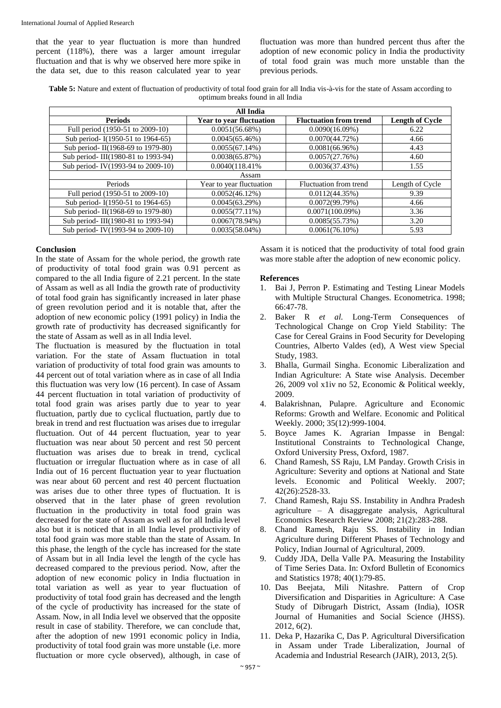that the year to year fluctuation is more than hundred percent (118%), there was a larger amount irregular fluctuation and that is why we observed here more spike in the data set, due to this reason calculated year to year

fluctuation was more than hundred percent thus after the adoption of new economic policy in India the productivity of total food grain was much more unstable than the previous periods.

**Table 5:** Nature and extent of fluctuation of productivity of total food grain for all India vis-à-vis for the state of Assam according to optimum breaks found in all India

| All India                          |                                 |                               |                        |  |  |
|------------------------------------|---------------------------------|-------------------------------|------------------------|--|--|
| <b>Periods</b>                     | <b>Year to year fluctuation</b> | <b>Fluctuation from trend</b> | <b>Length of Cycle</b> |  |  |
| Full period (1950-51 to 2009-10)   | 0.0051(56.68%)                  | $0.0090(16.09\%)$             | 6.22                   |  |  |
| Sub period- I(1950-51 to 1964-65)  | 0.0045(65.46%)                  | $0.0070(44.72\%)$             | 4.66                   |  |  |
| Sub period-II(1968-69 to 1979-80)  | 0.0055(67.14%)                  | $0.0081(66.96\%)$             | 4.43                   |  |  |
| Sub period-III(1980-81 to 1993-94) | 0.0038(65.87%)                  | 0.0057(27.76%)                | 4.60                   |  |  |
| Sub period-IV(1993-94 to 2009-10)  | 0.0040(118.41%)                 | 0.0036(37.43%)                | 1.55                   |  |  |
| Assam                              |                                 |                               |                        |  |  |
| Periods                            | Year to year fluctuation        | Fluctuation from trend        | Length of Cycle        |  |  |
| Full period (1950-51 to 2009-10)   | $0.0052(46.12\%)$               | $0.0112(44.35\%)$             | 9.39                   |  |  |
| Sub period- I(1950-51 to 1964-65)  | 0.0045(63.29%)                  | 0.0072(99.79%)                | 4.66                   |  |  |
| Sub period-II(1968-69 to 1979-80)  | $0.0055(77.11\%)$               | $0.0071(100.09\%)$            | 3.36                   |  |  |
| Sub period-III(1980-81 to 1993-94) | $0.0067(78.94\%)$               | 0.0085(55.73%)                | 3.20                   |  |  |
| Sub period-IV(1993-94 to 2009-10)  | $0.0035(58.04\%)$               | $0.0061(76.10\%)$             | 5.93                   |  |  |

#### **Conclusion**

In the state of Assam for the whole period, the growth rate of productivity of total food grain was 0.91 percent as compared to the all India figure of 2.21 percent. In the state of Assam as well as all India the growth rate of productivity of total food grain has significantly increased in later phase of green revolution period and it is notable that, after the adoption of new economic policy (1991 policy) in India the growth rate of productivity has decreased significantly for the state of Assam as well as in all India level.

The fluctuation is measured by the fluctuation in total variation. For the state of Assam fluctuation in total variation of productivity of total food grain was amounts to 44 percent out of total variation where as in case of all India this fluctuation was very low (16 percent). In case of Assam 44 percent fluctuation in total variation of productivity of total food grain was arises partly due to year to year fluctuation, partly due to cyclical fluctuation, partly due to break in trend and rest fluctuation was arises due to irregular fluctuation. Out of 44 percent fluctuation, year to year fluctuation was near about 50 percent and rest 50 percent fluctuation was arises due to break in trend, cyclical fluctuation or irregular fluctuation where as in case of all India out of 16 percent fluctuation year to year fluctuation was near about 60 percent and rest 40 percent fluctuation was arises due to other three types of fluctuation. It is observed that in the later phase of green revolution fluctuation in the productivity in total food grain was decreased for the state of Assam as well as for all India level also but it is noticed that in all India level productivity of total food grain was more stable than the state of Assam. In this phase, the length of the cycle has increased for the state of Assam but in all India level the length of the cycle has decreased compared to the previous period. Now, after the adoption of new economic policy in India fluctuation in total variation as well as year to year fluctuation of productivity of total food grain has decreased and the length of the cycle of productivity has increased for the state of Assam. Now, in all India level we observed that the opposite result in case of stability. Therefore, we can conclude that, after the adoption of new 1991 economic policy in India, productivity of total food grain was more unstable (i,e. more fluctuation or more cycle observed), although, in case of

Assam it is noticed that the productivity of total food grain was more stable after the adoption of new economic policy.

#### **References**

- 1. Bai J, Perron P. Estimating and Testing Linear Models with Multiple Structural Changes. Econometrica. 1998; 66:47-78.
- 2. Baker R *et al.* Long-Term Consequences of Technological Change on Crop Yield Stability: The Case for Cereal Grains in Food Security for Developing Countries, Alberto Valdes (ed), A West view Special Study, 1983.
- 3. Bhalla, Gurmail Singha. Economic Liberalization and Indian Agriculture: A State wise Analysis. December 26, 2009 vol x1iv no 52, Economic & Political weekly, 2009.
- 4. Balakrishnan, Pulapre. Agriculture and Economic Reforms: Growth and Welfare. Economic and Political Weekly. 2000; 35(12):999-1004.
- 5. Boyce James K. Agrarian Impasse in Bengal: Institutional Constraints to Technological Change, Oxford University Press, Oxford, 1987.
- 6. Chand Ramesh, SS Raju, LM Panday. Growth Crisis in Agriculture: Severity and options at National and State levels. Economic and Political Weekly. 2007; 42(26):2528-33.
- 7. Chand Ramesh, Raju SS. Instability in Andhra Pradesh agriculture – A disaggregate analysis, Agricultural Economics Research Review 2008; 21(2):283-288.
- 8. Chand Ramesh, Raju SS. Instability in Indian Agriculture during Different Phases of Technology and Policy, Indian Journal of Agricultural*,* 2009.
- 9. Cuddy JDA, Della Valle PA. Measuring the Instability of Time Series Data. In: Oxford Bulletin of Economics and Statistics 1978; 40(1):79-85.
- 10. Das Beejata, Mili Nitashre. Pattern of Crop Diversification and Disparities in Agriculture: A Case Study of Dibrugarh District, Assam (India), IOSR Journal of Humanities and Social Science (JHSS). 2012, 6(2).
- 11. Deka P, Hazarika C, Das P. Agricultural Diversification in Assam under Trade Liberalization, Journal of Academia and Industrial Research (JAIR), 2013, 2(5).